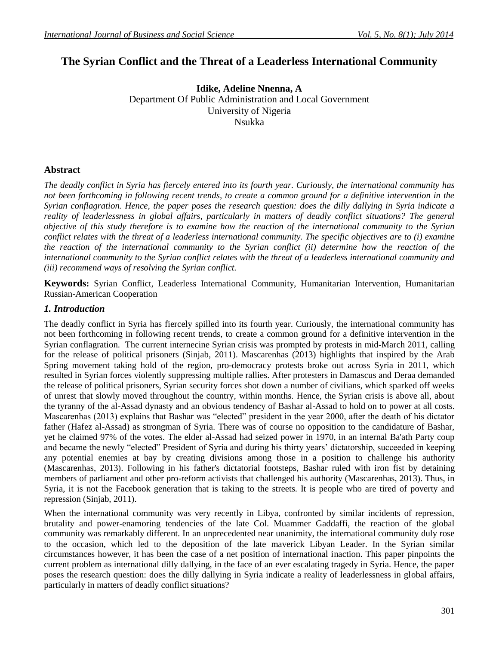# **The Syrian Conflict and the Threat of a Leaderless International Community**

**Idike, Adeline Nnenna, A** Department Of Public Administration and Local Government University of Nigeria Nsukka

#### **Abstract**

*The deadly conflict in Syria has fiercely entered into its fourth year. Curiously, the international community has not been forthcoming in following recent trends, to create a common ground for a definitive intervention in the Syrian conflagration. Hence, the paper poses the research question: does the dilly dallying in Syria indicate a*  reality of leaderlessness in global affairs, particularly in matters of deadly conflict situations? The general *objective of this study therefore is to examine how the reaction of the international community to the Syrian conflict relates with the threat of a leaderless international community. The specific objectives are to (i) examine the reaction of the international community to the Syrian conflict (ii) determine how the reaction of the international community to the Syrian conflict relates with the threat of a leaderless international community and (iii) recommend ways of resolving the Syrian conflict.* 

**Keywords:** Syrian Conflict, Leaderless International Community, Humanitarian Intervention, Humanitarian Russian-American Cooperation

#### *1. Introduction*

The deadly conflict in Syria has fiercely spilled into its fourth year. Curiously, the international community has not been forthcoming in following recent trends, to create a common ground for a definitive intervention in the Syrian conflagration. The current internecine Syrian crisis was prompted by protests in [mid-March 2011,](http://www.bbc.co.uk/news/world-middle-east-12794882) calling for the release of political prisoners (Sinjab, 2011). Mascarenhas (2013) highlights that inspired by the Arab Spring movement taking hold of the region, [pro-democracy protests](http://www.thefastertimes.com/politics/2011/10/22/syrian-protests-become-new-eye-of-the-arab-spring-storm/) broke out across Syria in 2011, which resulted in Syrian forces violently suppressing multiple rallies. After protesters in Damascus and Deraa demanded the release of political prisoners, Syrian security forces shot down a number of civilians, which sparked off weeks of unrest that slowly moved throughout the country, within months. Hence, the Syrian crisis is above all, about the tyranny of the al-Assad dynasty and an obvious tendency of Bashar al-Assad to hold on to power at all costs. Mascarenhas (2013) explains that Bashar was "elected" president in the year 2000, after the death of his dictator father (Hafez al-Assad) as strongman of Syria. There was of course no opposition to the candidature of Bashar, yet he claimed 97% of the votes. The elder al-Assad had seized power in 1970, in an internal Ba'ath Party coup and became the newly "elected" President of Syria and during his thirty years' dictatorship, succeeded in keeping any potential enemies at bay by creating divisions among those in a position to challenge his authority (Mascarenhas, 2013). Following in his father's dictatorial footsteps, Bashar [ruled with iron](http://www.theguardian.com/world/2012/mar/14/dictator-son-assad-grip-power) fist by detaining members of parliament and other pro-reform activists that challenged his authority (Mascarenhas, 2013). Thus, in Syria, it is not the Facebook generation that is taking to the streets. It is people who are tired of poverty and repression (Sinjab, 2011).

When the international community was very recently in Libya, confronted by similar incidents of repression, brutality and power-enamoring tendencies of the late Col. Muammer Gaddaffi, the reaction of the global community was remarkably different. In an unprecedented near unanimity, the international community duly rose to the occasion, which led to the deposition of the late maverick Libyan Leader. In the Syrian similar circumstances however, it has been the case of a net position of international inaction. This paper pinpoints the current problem as international dilly dallying, in the face of an ever escalating tragedy in Syria. Hence, the paper poses the research question: does the dilly dallying in Syria indicate a reality of leaderlessness in global affairs, particularly in matters of deadly conflict situations?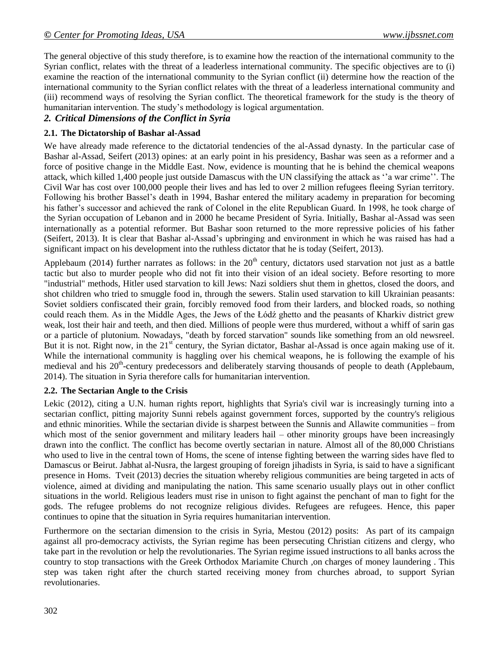The general objective of this study therefore, is to examine how the reaction of the international community to the Syrian conflict, relates with the threat of a leaderless international community. The specific objectives are to (i) examine the reaction of the international community to the Syrian conflict (ii) determine how the reaction of the international community to the Syrian conflict relates with the threat of a leaderless international community and (iii) recommend ways of resolving the Syrian conflict. The theoretical framework for the study is the theory of humanitarian intervention. The study's methodology is logical argumentation.

# *2. Critical Dimensions of the Conflict in Syria*

## **2.1. The Dictatorship of Bashar al-Assad**

We have already made reference to the dictatorial tendencies of the al-Assad dynasty. In the particular case of Bashar al-Assad, Seifert (2013) opines: at an early point in his presidency, Bashar was seen as a reformer and a force of positive change in the Middle East. Now, evidence is mounting that he is behind the chemical weapons attack, which killed 1,400 people just outside Damascus with the UN classifying the attack as ''a war crime''. The Civil War has cost over 100,000 people their lives and has led to over 2 million refugees fleeing Syrian territory. Following his brother Bassel's death in 1994, Bashar entered the military academy in preparation for becoming his father's successor and achieved the rank of Colonel in the elite Republican Guard. In 1998, he took charge of the Syrian occupation of Lebanon and in 2000 he became President of Syria. Initially, Bashar al-Assad was seen internationally as a potential reformer. But Bashar soon returned to the more repressive policies of his father (Seifert, 2013). It is clear that Bashar al-Assad's upbringing and environment in which he was raised has had a significant impact on his development into the ruthless dictator that he is today (Seifert, 2013).

Applebaum (2014) further narrates as follows: in the  $20<sup>th</sup>$  century, dictators used starvation not just as a battle tactic but also to murder people who did not fit into their vision of an ideal society. Before resorting to more "industrial" methods, Hitler used starvation to kill Jews: Nazi soldiers shut them in ghettos, closed the doors, and [shot children who tried to smuggle food in,](http://www.ushmm.org/outreach/en/article.php?ModuleId=10007708) through the sewers. [Stalin used starvation to kill Ukrainian peasants:](http://gis.huri.harvard.edu/homepage/mapping-the-great-famine.html) Soviet soldiers confiscated their grain, forcibly removed food from their larders, and blocked roads, so nothing could reach them. As in the Middle Ages, the Jews of the Łódź ghetto and the peasants of Kharkiv district grew weak, lost their hair and teeth, and then died. Millions of people were thus murdered, without a whiff of sarin gas or a particle of plutonium. Nowadays, "death by forced starvation" sounds like something from an old newsreel. But it is not. Right now, in the  $21<sup>st</sup>$  century, the Syrian dictator, Bashar al-Assad is once again making use of it. While the international community is haggling over his chemical weapons, he is following the example of his medieval and his 20<sup>th</sup>-century predecessors and deliberately starving thousands of people to death (Applebaum, 2014). The situation in Syria therefore calls for humanitarian intervention.

#### **2.2. The Sectarian Angle to the Crisis**

Lekic (2012), citing a U.N. human rights report, highlights that Syria's civil war is increasingly turning into a sectarian conflict, pitting majority Sunni rebels against government forces, supported by the country's religious and ethnic minorities. While the sectarian divide is sharpest between the Sunnis and Allawite communities – from which most of the senior government and military leaders hail – other minority groups have been increasingly drawn into the conflict. The conflict has become overtly sectarian in nature. Almost all of the 80,000 Christians who used to live in the central town of Homs, the scene of intense fighting between the warring sides have fled to Damascus or Beirut. Jabhat al-Nusra, the largest grouping of foreign jihadists in Syria, is said to have a significant presence in Homs. Tveit (2013) decries the situation whereby religious communities are being targeted in acts of violence, aimed at dividing and manipulating the nation. This same scenario usually plays out in other conflict situations in the world. Religious leaders must rise in unison to fight against the penchant of man to fight for the gods. The refugee problems do not recognize religious divides. Refugees are refugees. Hence, this paper continues to opine that the situation in Syria requires humanitarian intervention.

Furthermore on the sectarian dimension to the crisis in Syria, Mestou (2012) posits: As part of its campaign against all pro-democracy activists, the Syrian regime has been persecuting Christian citizens and clergy, who take part in the revolution or help the revolutionaries. The Syrian regime issued instructions to all banks across the country to stop transactions with the Greek Orthodox Mariamite Church ,on charges of money laundering . This step was taken right after the church started receiving money from churches abroad, to support Syrian revolutionaries.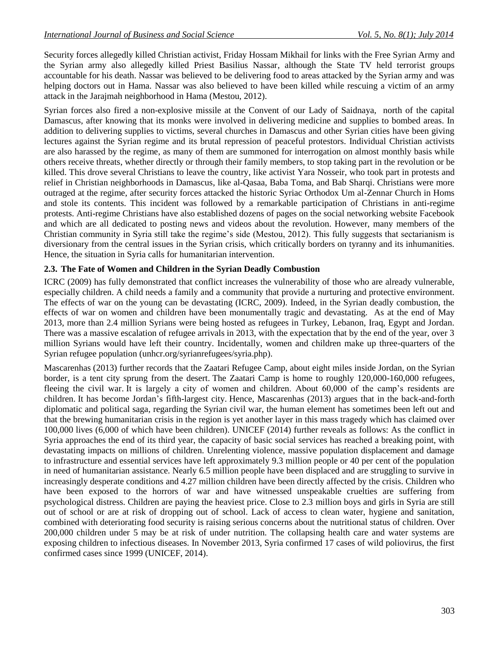Security forces allegedly killed Christian activist, Friday Hossam Mikhail for links with the Free Syrian Army and the Syrian army also allegedly killed Priest Basilius Nassar, although the State TV held terrorist groups accountable for his death. Nassar was believed to be delivering food to areas attacked by the Syrian army and was helping doctors out in Hama. Nassar was also believed to have been killed while rescuing a victim of an army attack in the Jarajmah neighborhood in Hama (Mestou, 2012).

Syrian forces also fired a non-explosive missile at the Convent of our Lady of Saidnaya, north of the capital Damascus, after knowing that its monks were involved in delivering medicine and supplies to bombed areas. In addition to delivering supplies to victims, several churches in Damascus and other Syrian cities have been giving lectures against the Syrian regime and its brutal repression of peaceful protestors. Individual Christian activists are also harassed by the regime, as many of them are summoned for interrogation on almost monthly basis while others receive threats, whether directly or through their family members, to stop taking part in the revolution or be killed. This drove several Christians to leave the country, like activist Yara Nosseir, who took part in protests and relief in Christian neighborhoods in Damascus, like al-Qasaa, Baba Toma, and Bab Sharqi. Christians were more outraged at the regime, after security forces attacked the historic Syriac Orthodox Um al-Zennar Church in Homs and stole its contents. This incident was followed by a remarkable participation of Christians in anti-regime protests. Anti-regime Christians have also established dozens of pages on the social networking website Facebook and which are all dedicated to posting news and videos about the revolution. However, many members of the Christian community in Syria still take the regime's side (Mestou, 2012). This fully suggests that sectarianism is diversionary from the central issues in the Syrian crisis, which critically borders on tyranny and its inhumanities. Hence, the situation in Syria calls for humanitarian intervention.

#### **2.3. The Fate of Women and Children in the Syrian Deadly Combustion**

ICRC (2009) has fully demonstrated that conflict increases the vulnerability of those who are already vulnerable, especially children. A child needs a family and a community that provide a nurturing and protective environment. The effects of war on the young can be devastating (ICRC, 2009). Indeed, in the Syrian deadly combustion, the effects of war on women and children have been monumentally tragic and devastating. As at the end of May 2013, more than 2.4 million Syrians were being hosted as refugees in Turkey, Lebanon, Iraq, Egypt and Jordan. There was a massive escalation of refugee arrivals in 2013, with the expectation that by the end of the year, over 3 million Syrians would have left their country. Incidentally, women and children make up three-quarters of the Syrian refugee population [\(unhcr.org/syrianrefugees/syria.php\)](http://data.unhcr.org/syrianrefugees/syria.php).

Mascarenhas (2013) further records that the [Zaatari Refugee Camp,](http://www.washingtonpost.com/world/kerry-meets-with-syrian-refugees-at-camp-in-jordan/2013/07/18/3464b752-ef7f-11e2-bed3-b9b6fe264871_story.html) about eight miles inside Jordan, on the Syrian border, is a tent city sprung from the desert. The Zaatari Camp is home to roughly 120,000-160,000 refugees, fleeing the civil war. It is largely a city of women and children. About 60,000 of the camp's residents are children. It has become Jordan's fifth-largest city. Hence, Mascarenhas (2013) argues that in the back-and-forth diplomatic and political saga, regarding the Syrian civil war, the human element has sometimes been left out and that the brewing humanitarian crisis in the region is yet another layer in this mass tragedy which has [claimed](http://www.guardian.co.uk/world/2013/jun/13/death-toll-syrian-conflict-93000) over 100,000 lives (6,000 of which have been children). UNICEF (2014) further reveals as follows: As the conflict in Syria approaches the end of its third year, the capacity of basic social services has reached a breaking point, with devastating impacts on millions of children. Unrelenting violence, massive population displacement and damage to infrastructure and essential services have left approximately 9.3 million people or 40 per cent of the population in need of humanitarian assistance. Nearly 6.5 million people have been displaced and are struggling to survive in increasingly desperate conditions and 4.27 million children have been directly affected by the crisis. Children who have been exposed to the horrors of war and have witnessed unspeakable cruelties are suffering from psychological distress. Children are paying the heaviest price. Close to 2.3 million boys and girls in Syria are still out of school or are at risk of dropping out of school. Lack of access to clean water, hygiene and sanitation, combined with deteriorating food security is raising serious concerns about the nutritional status of children. Over 200,000 children under 5 may be at risk of under nutrition. The collapsing health care and water systems are exposing children to infectious diseases. In November 2013, Syria confirmed 17 cases of wild poliovirus, the first confirmed cases since 1999 (UNICEF, 2014).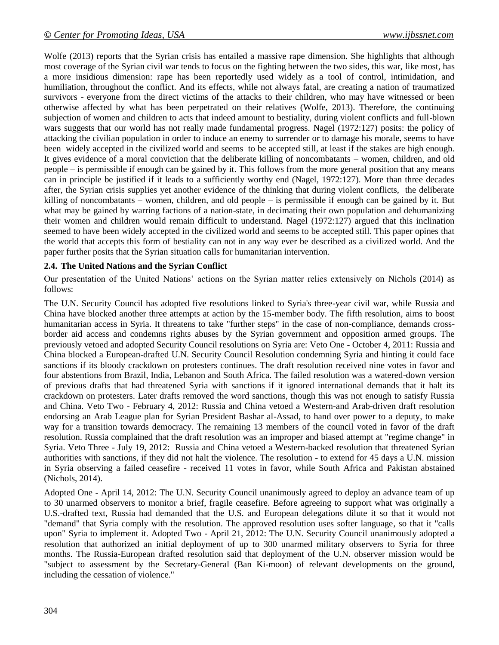Wolfe (2013) reports that the Syrian crisis has entailed a massive rape dimension. She highlights that although most coverage of the Syrian civil war tends to focus on the fighting between the two sides, this war, [like most,](http://www.womenundersiegeproject.org/conflicts) has a more insidious dimension: rape has been reportedly used widely as a tool of control, intimidation, and humiliation, throughout the conflict. And its effects, while not always fatal, are [creating a nation of traumatized](http://www.womenundersiegeproject.org/blog/entry/rape-is-shredding-syrias-social-fabric)  [survivors](http://www.womenundersiegeproject.org/blog/entry/rape-is-shredding-syrias-social-fabric) - everyone from the direct victims of the attacks to their children, who may have witnessed or been otherwise affected by what has been perpetrated on their relatives (Wolfe, 2013). Therefore, the continuing subjection of women and children to acts that indeed amount to bestiality, during violent conflicts and full-blown wars suggests that our world has not really made fundamental progress. Nagel (1972:127) posits: the policy of attacking the civilian population in order to induce an enemy to surrender or to damage his morale, seems to have been widely accepted in the civilized world and seems to be accepted still, at least if the stakes are high enough. It gives evidence of a moral conviction that the deliberate killing of noncombatants – women, children, and old people – is permissible if enough can be gained by it. This follows from the more general position that any means can in principle be justified if it leads to a sufficiently worthy end (Nagel, 1972:127). More than three decades after, the Syrian crisis supplies yet another evidence of the thinking that during violent conflicts, the deliberate killing of noncombatants – women, children, and old people – is permissible if enough can be gained by it. But what may be gained by warring factions of a nation-state, in decimating their own population and dehumanizing their women and children would remain difficult to understand. Nagel (1972:127) argued that this inclination seemed to have been widely accepted in the civilized world and seems to be accepted still. This paper opines that the world that accepts this form of bestiality can not in any way ever be described as a civilized world. And the paper further posits that the Syrian situation calls for humanitarian intervention.

#### **2.4. The United Nations and the Syrian Conflict**

Our presentation of the United Nations' actions on the Syrian matter relies extensively on Nichols (2014) as follows:

The U.N. Security Council has adopted five resolutions linked to Syria's three-year civil war, while [Russia](http://www.reuters.com/places/russia?lc=int_mb_1001) and [China](http://www.reuters.com/places/china?lc=int_mb_1001) have blocked another three attempts at action by the 15-member body. The fifth resolution, aims to boost humanitarian access in [Syria.](http://www.reuters.com/places/syria?lc=int_mb_1001) It threatens to take "further steps" in the case of non-compliance, demands crossborder aid access and condemns rights abuses by the Syrian government and opposition armed groups. The previously vetoed and adopted Security Council resolutions on [Syria](http://www.reuters.com/places/syria?lc=int_mb_1001) are: Veto One - October 4, 2011: [Russia](http://www.reuters.com/places/russia?lc=int_mb_1001) and [China](http://www.reuters.com/places/china?lc=int_mb_1001) blocked a European-drafted U.N. Security Council Resolution condemning Syria and hinting it could face sanctions if its bloody crackdown on protesters continues. The draft resolution received nine votes in favor and four abstentions from [Brazil,](http://www.reuters.com/places/brazil?lc=int_mb_1001) [India,](http://in.reuters.com/?lc=int_mb_1001) Lebanon and South Africa. The failed resolution was a watered-down version of previous drafts that had threatened Syria with sanctions if it ignored international demands that it halt its crackdown on protesters. Later drafts removed the word sanctions, though this was not enough to satisfy Russia and China. Veto Two - February 4, 2012: Russia and China vetoed a Western-and Arab-driven draft resolution endorsing an Arab League plan for Syrian President Bashar al-Assad, to hand over power to a deputy, to make way for a transition towards democracy. The remaining 13 members of the council voted in favor of the draft resolution. Russia complained that the draft resolution was an improper and biased attempt at "regime change" in Syria. Veto Three - July 19, 2012: Russia and China vetoed a Western-backed resolution that threatened Syrian authorities with sanctions, if they did not halt the violence. The resolution - to extend for 45 days a U.N. mission in Syria observing a failed ceasefire - received 11 votes in favor, while South Africa and [Pakistan](http://www.reuters.com/places/pakistan?lc=int_mb_1001) abstained (Nichols, 2014).

Adopted One - April 14, 2012: The U.N. Security Council unanimously agreed to deploy an advance team of up to 30 unarmed observers to monitor a brief, fragile ceasefire. Before agreeing to support what was originally a U.S.-drafted text, Russia had demanded that the U.S. and European delegations dilute it so that it would not "demand" that Syria comply with the resolution. The approved resolution uses softer language, so that it "calls upon" Syria to implement it. Adopted Two - April 21, 2012: The U.N. Security Council unanimously adopted a resolution that authorized an initial deployment of up to 300 unarmed military observers to Syria for three months. The Russia-European drafted resolution said that deployment of the U.N. observer mission would be "subject to assessment by the Secretary-General (Ban Ki-moon) of relevant developments on the ground, including the cessation of violence."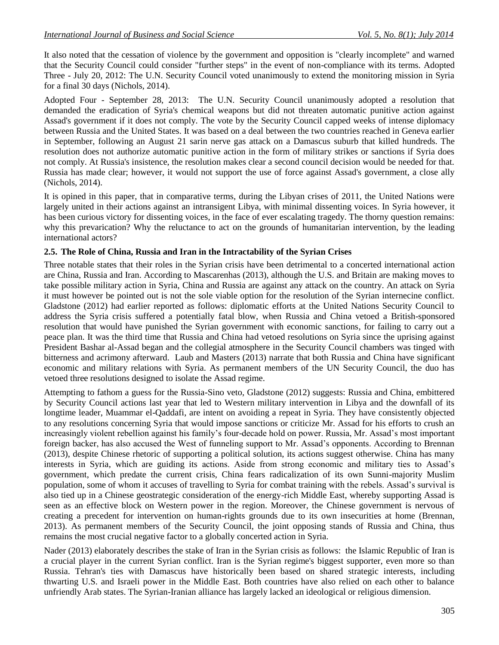It also noted that the cessation of violence by the government and opposition is "clearly incomplete" and warned that the Security Council could consider "further steps" in the event of non-compliance with its terms. Adopted Three - July 20, 2012: The U.N. Security Council voted unanimously to extend the monitoring mission in Syria for a final 30 days (Nichols, 2014).

Adopted Four - September 28, 2013: The U.N. Security Council unanimously adopted a resolution that demanded the eradication of Syria's chemical weapons but did not threaten automatic punitive action against Assad's government if it does not comply. The vote by the Security Council capped weeks of intense diplomacy between Russia and the United States. It was based on a deal between the two countries reached in Geneva earlier in September, following an August 21 sarin nerve gas attack on a Damascus suburb that killed hundreds. The resolution does not authorize automatic punitive action in the form of military strikes or sanctions if Syria does not comply. At Russia's insistence, the resolution makes clear a second council decision would be needed for that. Russia has made clear; however, it would not support the use of force against Assad's government, a close ally (Nichols, 2014).

It is opined in this paper, that in comparative terms, during the Libyan crises of 2011, the United Nations were largely united in their actions against an intransigent Libya, with minimal dissenting voices. In Syria however, it has been curious victory for dissenting voices, in the face of ever escalating tragedy. The thorny question remains: why this prevarication? Why the reluctance to act on the grounds of humanitarian intervention, by the leading international actors?

#### **2.5. The Role of China, Russia and Iran in the Intractability of the Syrian Crises**

Three notable states that their roles in the Syrian crisis have been detrimental to a concerted international action are China, Russia and Iran. According to Mascarenhas (2013), although the U.S. and Britain are making moves to take possible military action in Syria, China and Russia are against any attack on the country. An attack on Syria it must however be pointed out is not the sole viable option for the resolution of the Syrian internecine conflict. Gladstone (2012) had earlier reported as follows: diplomatic efforts at the United Nations Security Council to address the [Syria](http://topics.nytimes.com/top/news/international/countriesandterritories/syria/index.html?inline=nyt-geo) crisis suffered a potentially fatal blow, when [Russia](http://topics.nytimes.com/top/news/international/countriesandterritories/russiaandtheformersovietunion/index.html?inline=nyt-geo) and [China](http://topics.nytimes.com/top/news/international/countriesandterritories/china/index.html?inline=nyt-geo) vetoed a British-sponsored resolution that would have punished the Syrian government with economic sanctions, for failing to carry out a peace plan. It was the third time that Russia and China had vetoed resolutions on Syria since the uprising against President Bashar al-Assad began and the collegial atmosphere in the Security Council chambers was tinged with bitterness and acrimony afterward. Laub and Masters (2013) narrate that both Russia and China have significant economic and military relations with Syria. As permanent members of the UN Security Council, the duo has vetoed three resolutions designed to isolate the Assad regime.

Attempting to fathom a guess for the Russia-Sino veto, Gladstone (2012) suggests: Russia and China, embittered by Security Council actions last year that led to Western military intervention in Libya and the downfall of its longtime leader, Muammar el-Qaddafi, are intent on avoiding a repeat in Syria. They have consistently objected to any resolutions concerning Syria that would impose sanctions or criticize Mr. Assad for his efforts to crush an increasingly violent rebellion against his family's four-decade hold on power. Russia, Mr. Assad's most important foreign backer, has also accused the West of funneling support to Mr. Assad's opponents. According to Brennan (2013), despite Chinese rhetoric of supporting a political solution, its actions suggest otherwise. China has many interests in Syria, which are guiding its actions. Aside from strong economic and military ties to Assad's government, which predate the current crisis, China fears radicalization of its own Sunni-majority Muslim population, some of whom it accuses of travelling to Syria for combat training with the rebels. Assad's survival is also tied up in a Chinese geostrategic consideration of the energy-rich Middle East, whereby supporting Assad is seen as an effective block on Western power in the region. Moreover, the Chinese government is nervous of creating a precedent for intervention on human-rights grounds due to its own insecurities at home (Brennan, 2013). As permanent members of the Security Council, the joint opposing stands of Russia and China, thus remains the most crucial negative factor to a globally concerted action in Syria.

Nader (2013) elaborately describes the stake of Iran in the Syrian crisis as follows: the Islamic Republic of Iran is a crucial player in the current Syrian conflict. Iran is the Syrian regime's biggest supporter, even more so than Russia. Tehran's ties with Damascus have historically been based on shared strategic interests, including thwarting U.S. and Israeli power in the Middle East. Both countries have also relied on each other to balance unfriendly Arab states. The Syrian-Iranian alliance has largely lacked an ideological or religious dimension.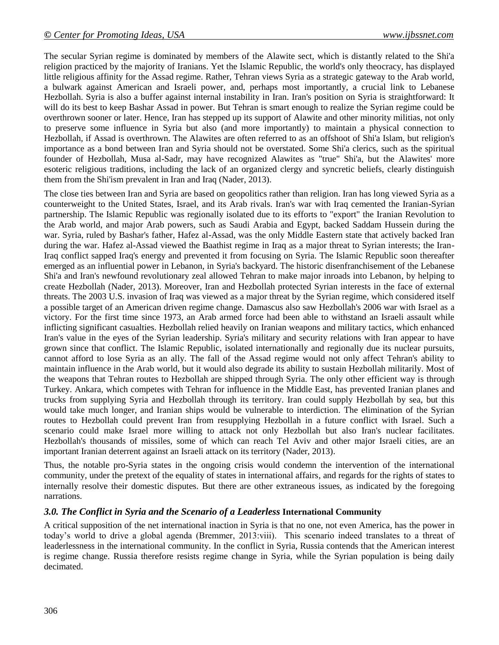The secular Syrian regime is dominated by members of the Alawite sect, which is distantly related to the Shi'a religion practiced by the majority of Iranians. Yet the Islamic Republic, the world's only theocracy, has displayed little religious affinity for the Assad regime. Rather, Tehran views Syria as a strategic gateway to the Arab world, a bulwark against American and Israeli power, and, perhaps most importantly, a crucial link to Lebanese Hezbollah. Syria is also a buffer against internal instability in Iran. Iran's position on Syria is straightforward: It will do its best to keep Bashar Assad in power. But Tehran is smart enough to realize the Syrian regime could be overthrown sooner or later. Hence, Iran has stepped up its support of Alawite and other minority militias, not only to preserve some influence in Syria but also (and more importantly) to maintain a physical connection to Hezbollah, if Assad is overthrown. The Alawites are often referred to as an offshoot of Shi'a Islam, but religion's importance as a bond between Iran and Syria should not be overstated. Some Shi'a clerics, such as the spiritual founder of Hezbollah, Musa al-Sadr, may have recognized Alawites as "true" Shi'a, but the Alawites' more esoteric religious traditions, including the lack of an organized clergy and syncretic beliefs, clearly distinguish them from the Shi'ism prevalent in Iran and Iraq (Nader, 2013).

The close ties between Iran and Syria are based on geopolitics rather than religion. Iran has long viewed Syria as a counterweight to the United States, Israel, and its Arab rivals. Iran's war with Iraq cemented the Iranian-Syrian partnership. The Islamic Republic was regionally isolated due to its efforts to "export" the Iranian Revolution to the Arab world, and major Arab powers, such as Saudi Arabia and Egypt, backed Saddam Hussein during the war. Syria, ruled by Bashar's father, Hafez al-Assad, was the only Middle Eastern state that actively backed Iran during the war. Hafez al-Assad viewed the Baathist regime in Iraq as a major threat to Syrian interests; the Iran-Iraq conflict sapped Iraq's energy and prevented it from focusing on Syria. The Islamic Republic soon thereafter emerged as an influential power in Lebanon, in Syria's backyard. The historic disenfranchisement of the Lebanese Shi'a and Iran's newfound revolutionary zeal allowed Tehran to make major inroads into Lebanon, by helping to create Hezbollah (Nader, 2013). Moreover, Iran and Hezbollah protected Syrian interests in the face of external threats. The 2003 U.S. invasion of Iraq was viewed as a major threat by the Syrian regime, which considered itself a possible target of an American driven regime change. Damascus also saw Hezbollah's 2006 war with Israel as a victory. For the first time since 1973, an Arab armed force had been able to withstand an Israeli assault while inflicting significant casualties. Hezbollah relied heavily on Iranian weapons and military tactics, which enhanced Iran's value in the eyes of the Syrian leadership. Syria's military and security relations with Iran appear to have grown since that conflict. The Islamic Republic, isolated internationally and regionally due its nuclear pursuits, cannot afford to lose Syria as an ally. The fall of the Assad regime would not only affect Tehran's ability to maintain influence in the Arab world, but it would also degrade its ability to sustain Hezbollah militarily. Most of the weapons that Tehran routes to Hezbollah are shipped through Syria. The only other efficient way is through Turkey. Ankara, which competes with Tehran for influence in the Middle East, has prevented Iranian planes and trucks from supplying Syria and Hezbollah through its territory. Iran could supply Hezbollah by sea, but this would take much longer, and Iranian ships would be vulnerable to interdiction. The elimination of the Syrian routes to Hezbollah could prevent Iran from resupplying Hezbollah in a future conflict with Israel. Such a scenario could make Israel more willing to attack not only Hezbollah but also Iran's nuclear facilitates. Hezbollah's thousands of missiles, some of which can reach Tel Aviv and other major Israeli cities, are an important Iranian deterrent against an Israeli attack on its territory (Nader, 2013).

Thus, the notable pro-Syria states in the ongoing crisis would condemn the intervention of the international community, under the pretext of the equality of states in international affairs, and regards for the rights of states to internally resolve their domestic disputes. But there are other extraneous issues, as indicated by the foregoing narrations.

#### *3.0. The Conflict in Syria and the Scenario of a Leaderless* **International Community**

A critical supposition of the net international inaction in Syria is that no one, not even America, has the power in today's world to drive a global agenda (Bremmer, 2013:viii). This scenario indeed translates to a threat of leaderlessness in the international community. In the conflict in Syria, Russia contends that the American interest is regime change. Russia therefore resists regime change in Syria, while the Syrian population is being daily decimated.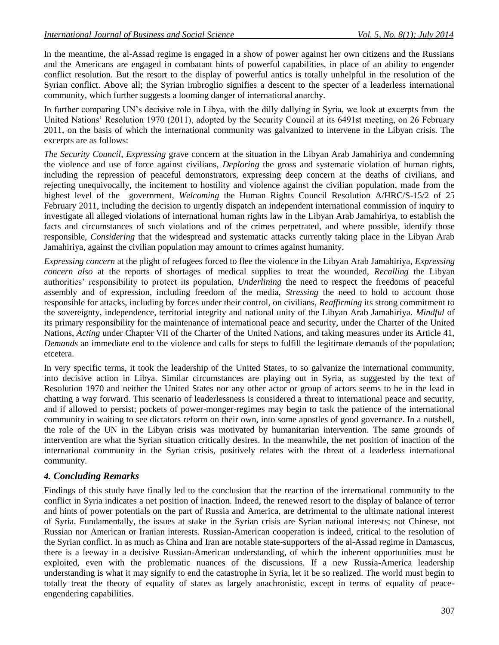In the meantime, the al-Assad regime is engaged in a show of power against her own citizens and the Russians and the Americans are engaged in combatant hints of powerful capabilities, in place of an ability to engender conflict resolution. But the resort to the display of powerful antics is totally unhelpful in the resolution of the Syrian conflict. Above all; the Syrian imbroglio signifies a descent to the specter of a leaderless international community, which further suggests a looming danger of international anarchy.

In further comparing UN's decisive role in Libya, with the dilly dallying in Syria, we look at excerpts from the United Nations' Resolution 1970 (2011), adopted by the Security Council at its 6491st meeting, on 26 February 2011, on the basis of which the international community was galvanized to intervene in the Libyan crisis. The excerpts are as follows:

*The Security Council*, *Expressing* grave concern at the situation in the Libyan Arab Jamahiriya and condemning the violence and use of force against civilians, *Deploring* the gross and systematic violation of human rights, including the repression of peaceful demonstrators, expressing deep concern at the deaths of civilians, and rejecting unequivocally, the incitement to hostility and violence against the civilian population, made from the highest level of the government, *Welcoming* the Human Rights Council Resolution A/HRC/S-15/2 of 25 February 2011, including the decision to urgently dispatch an independent international commission of inquiry to investigate all alleged violations of international human rights law in the Libyan Arab Jamahiriya, to establish the facts and circumstances of such violations and of the crimes perpetrated, and where possible, identify those responsible, *Considering* that the widespread and systematic attacks currently taking place in the Libyan Arab Jamahiriya, against the civilian population may amount to crimes against humanity,

*Expressing concern* at the plight of refugees forced to flee the violence in the Libyan Arab Jamahiriya, *Expressing concern also* at the reports of shortages of medical supplies to treat the wounded, *Recalling* the Libyan authorities' responsibility to protect its population, *Underlining* the need to respect the freedoms of peaceful assembly and of expression, including freedom of the media, *Stressing* the need to hold to account those responsible for attacks, including by forces under their control, on civilians, *Reaffirming* its strong commitment to the sovereignty, independence, territorial integrity and national unity of the Libyan Arab Jamahiriya. *Mindful* of its primary responsibility for the maintenance of international peace and security, under the Charter of the United Nations, *Acting* under Chapter VII of the Charter of the United Nations, and taking measures under its Article 41, *Demands* an immediate end to the violence and calls for steps to fulfill the legitimate demands of the population; etcetera.

In very specific terms, it took the leadership of the United States, to so galvanize the international community, into decisive action in Libya. Similar circumstances are playing out in Syria, as suggested by the text of Resolution 1970 and neither the United States nor any other actor or group of actors seems to be in the lead in chatting a way forward. This scenario of leaderlessness is considered a threat to international peace and security, and if allowed to persist; pockets of power-monger-regimes may begin to task the patience of the international community in waiting to see dictators reform on their own, into some apostles of good governance. In a nutshell, the role of the UN in the Libyan crisis was motivated by humanitarian intervention. The same grounds of intervention are what the Syrian situation critically desires. In the meanwhile, the net position of inaction of the international community in the Syrian crisis, positively relates with the threat of a leaderless international community.

#### *4. Concluding Remarks*

Findings of this study have finally led to the conclusion that the reaction of the international community to the conflict in Syria indicates a net position of inaction. Indeed, the renewed resort to the display of balance of terror and hints of power potentials on the part of Russia and America, are detrimental to the ultimate national interest of Syria. Fundamentally, the issues at stake in the Syrian crisis are Syrian national interests; not Chinese, not Russian nor American or Iranian interests. Russian-American cooperation is indeed, critical to the resolution of the Syrian conflict. In as much as China and Iran are notable state-supporters of the al-Assad regime in Damascus, there is a leeway in a decisive Russian-American understanding, of which the inherent opportunities must be exploited, even with the problematic nuances of the discussions. If a new Russia-America leadership understanding is what it may signify to end the catastrophe in Syria, let it be so realized. The world must begin to totally treat the theory of equality of states as largely anachronistic, except in terms of equality of peaceengendering capabilities.